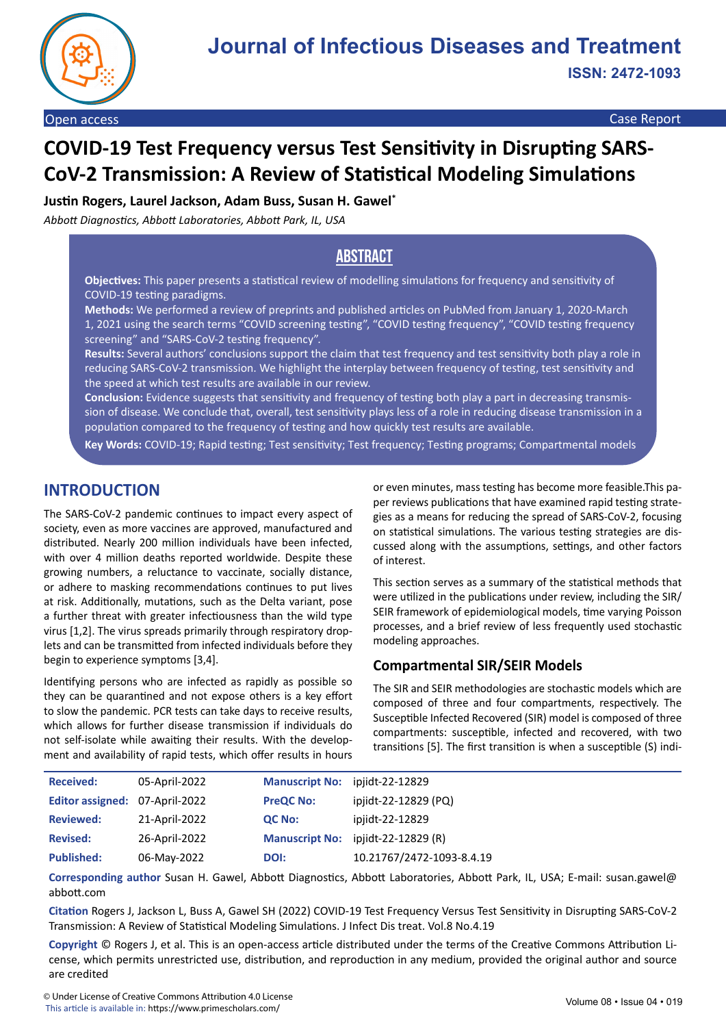

Open access Case Report

# **COVID-19 Test Frequency versus Test Sensitivity in Disrupting SARS-CoV-2 Transmission: A Review of Statistical Modeling Simulations**

**Justin Rogers, Laurel Jackson, Adam Buss, Susan H. Gawel\***

*Abbott Diagnostics, Abbott Laboratories, Abbott Park, IL, USA*

# **Abstract**

**Objectives:** This paper presents a statistical review of modelling simulations for frequency and sensitivity of COVID-19 testing paradigms.

**Methods:** We performed a review of preprints and published articles on PubMed from January 1, 2020-March 1, 2021 using the search terms "COVID screening testing", "COVID testing frequency", "COVID testing frequency screening" and "SARS-CoV-2 testing frequency".

**Results:** Several authors' conclusions support the claim that test frequency and test sensitivity both play a role in reducing SARS-CoV-2 transmission. We highlight the interplay between frequency of testing, test sensitivity and the speed at which test results are available in our review.

**Conclusion:** Evidence suggests that sensitivity and frequency of testing both play a part in decreasing transmission of disease. We conclude that, overall, test sensitivity plays less of a role in reducing disease transmission in a population compared to the frequency of testing and how quickly test results are available.

**Key Words:** COVID-19; Rapid testing; Test sensitivity; Test frequency; Testing programs; Compartmental models

# **INTRODUCTION**

The SARS-CoV-2 pandemic continues to impact every aspect of society, even as more vaccines are approved, manufactured and distributed. Nearly 200 million individuals have been infected, with over 4 million deaths reported worldwide. Despite these growing numbers, a reluctance to vaccinate, socially distance, or adhere to masking recommendations continues to put lives at risk. Additionally, mutations, such as the Delta variant, pose a further threat with greater infectiousness than the wild type virus [1,2]. The virus spreads primarily through respiratory droplets and can be transmitted from infected individuals before they begin to experience symptoms [3,4].

Identifying persons who are infected as rapidly as possible so they can be quarantined and not expose others is a key effort to slow the pandemic. PCR tests can take days to receive results, which allows for further disease transmission if individuals do not self-isolate while awaiting their results. With the development and availability of rapid tests, which offer results in hours

or even minutes, mass testing has become more feasible.This paper reviews publications that have examined rapid testing strategies as a means for reducing the spread of SARS-CoV-2, focusing on statistical simulations. The various testing strategies are discussed along with the assumptions, settings, and other factors of interest.

This section serves as a summary of the statistical methods that were utilized in the publications under review, including the SIR/ SEIR framework of epidemiological models, time varying Poisson processes, and a brief review of less frequently used stochastic modeling approaches.

### **Compartmental SIR/SEIR Models**

The SIR and SEIR methodologies are stochastic models which are composed of three and four compartments, respectively. The Susceptible Infected Recovered (SIR) model is composed of three compartments: susceptible, infected and recovered, with two transitions [5]. The first transition is when a susceptible (S) indi-

| <b>Received:</b>               | 05-April-2022 | Manuscript No: ipjidt-22-12829 |                                    |
|--------------------------------|---------------|--------------------------------|------------------------------------|
| Editor assigned: 07-April-2022 |               | <b>PreQC No:</b>               | ipjidt-22-12829 (PQ)               |
| <b>Reviewed:</b>               | 21-April-2022 | <b>QC No:</b>                  | ipjidt-22-12829                    |
| <b>Revised:</b>                | 26-April-2022 |                                | Manuscript No: ipjidt-22-12829 (R) |
| <b>Published:</b>              | 06-May-2022   | DOI:                           | 10.21767/2472-1093-8.4.19          |

**Corresponding author** Susan H. Gawel, Abbott Diagnostics, Abbott Laboratories, Abbott Park, IL, USA; E-mail: susan.gawel@ abbott.com

**Citation** Rogers J, Jackson L, Buss A, Gawel SH (2022) COVID-19 Test Frequency Versus Test Sensitivity in Disrupting SARS-CoV-2 Transmission: A Review of Statistical Modeling Simulations. J Infect Dis treat. Vol.8 No.4.19

**Copyright** © Rogers J, et al. This is an open-access article distributed under the terms of the Creative Commons Attribution License, which permits unrestricted use, distribution, and reproduction in any medium, provided the original author and source are credited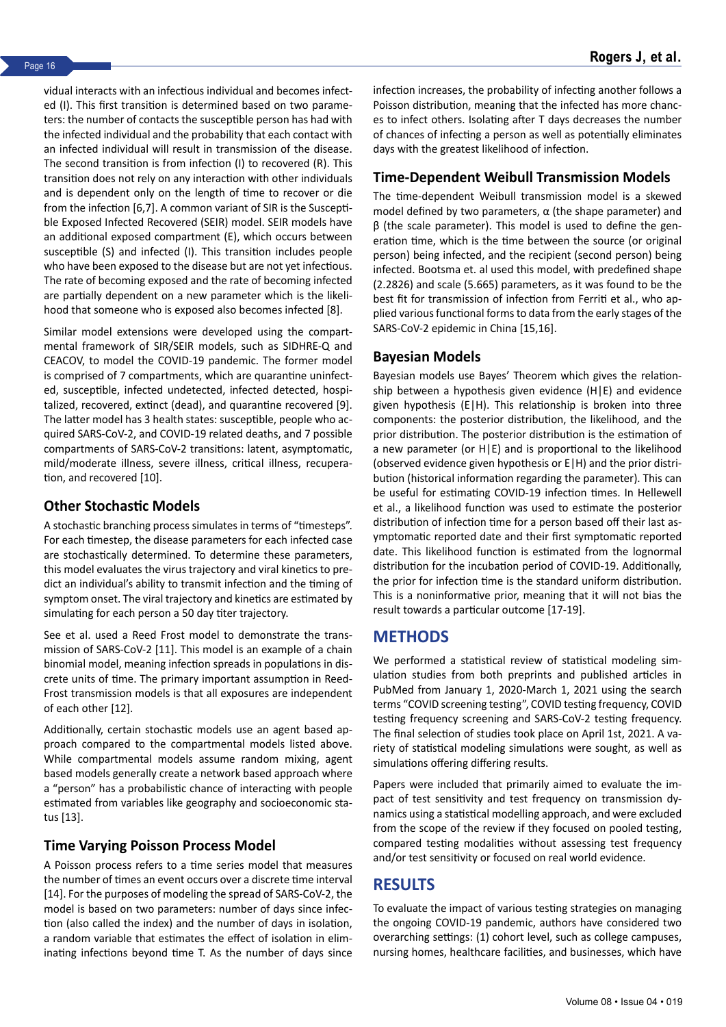vidual interacts with an infectious individual and becomes infected (I). This first transition is determined based on two parameters: the number of contacts the susceptible person has had with the infected individual and the probability that each contact with an infected individual will result in transmission of the disease. The second transition is from infection (I) to recovered (R). This transition does not rely on any interaction with other individuals and is dependent only on the length of time to recover or die from the infection [6,7]. A common variant of SIR is the Susceptible Exposed Infected Recovered (SEIR) model. SEIR models have an additional exposed compartment (E), which occurs between susceptible (S) and infected (I). This transition includes people who have been exposed to the disease but are not yet infectious. The rate of becoming exposed and the rate of becoming infected are partially dependent on a new parameter which is the likelihood that someone who is exposed also becomes infected [8].

Similar model extensions were developed using the compartmental framework of SIR/SEIR models, such as SIDHRE-Q and CEACOV, to model the COVID-19 pandemic. The former model is comprised of 7 compartments, which are quarantine uninfected, susceptible, infected undetected, infected detected, hospitalized, recovered, extinct (dead), and quarantine recovered [9]. The latter model has 3 health states: susceptible, people who acquired SARS-CoV-2, and COVID-19 related deaths, and 7 possible compartments of SARS-CoV-2 transitions: latent, asymptomatic, mild/moderate illness, severe illness, critical illness, recuperation, and recovered [10].

# **Other Stochastic Models**

A stochastic branching process simulates in terms of "timesteps". For each timestep, the disease parameters for each infected case are stochastically determined. To determine these parameters, this model evaluates the virus trajectory and viral kinetics to predict an individual's ability to transmit infection and the timing of symptom onset. The viral trajectory and kinetics are estimated by simulating for each person a 50 day titer trajectory.

See et al. used a Reed Frost model to demonstrate the transmission of SARS-CoV-2 [11]. This model is an example of a chain binomial model, meaning infection spreads in populations in discrete units of time. The primary important assumption in Reed-Frost transmission models is that all exposures are independent of each other [12].

Additionally, certain stochastic models use an agent based approach compared to the compartmental models listed above. While compartmental models assume random mixing, agent based models generally create a network based approach where a "person" has a probabilistic chance of interacting with people estimated from variables like geography and socioeconomic status [13].

# **Time Varying Poisson Process Model**

A Poisson process refers to a time series model that measures the number of times an event occurs over a discrete time interval [14]. For the purposes of modeling the spread of SARS-CoV-2, the model is based on two parameters: number of days since infection (also called the index) and the number of days in isolation, a random variable that estimates the effect of isolation in eliminating infections beyond time T. As the number of days since infection increases, the probability of infecting another follows a Poisson distribution, meaning that the infected has more chances to infect others. Isolating after T days decreases the number of chances of infecting a person as well as potentially eliminates days with the greatest likelihood of infection.

### **Time-Dependent Weibull Transmission Models**

The time-dependent Weibull transmission model is a skewed model defined by two parameters,  $\alpha$  (the shape parameter) and β (the scale parameter). This model is used to define the generation time, which is the time between the source (or original person) being infected, and the recipient (second person) being infected. Bootsma et. al used this model, with predefined shape (2.2826) and scale (5.665) parameters, as it was found to be the best fit for transmission of infection from Ferriti et al., who applied various functional forms to data from the early stages of the SARS-CoV-2 epidemic in China [15,16].

#### **Bayesian Models**

Bayesian models use Bayes' Theorem which gives the relationship between a hypothesis given evidence (H|E) and evidence given hypothesis (E|H). This relationship is broken into three components: the posterior distribution, the likelihood, and the prior distribution. The posterior distribution is the estimation of a new parameter (or H|E) and is proportional to the likelihood (observed evidence given hypothesis or E|H) and the prior distribution (historical information regarding the parameter). This can be useful for estimating COVID-19 infection times. In Hellewell et al., a likelihood function was used to estimate the posterior distribution of infection time for a person based off their last asymptomatic reported date and their first symptomatic reported date. This likelihood function is estimated from the lognormal distribution for the incubation period of COVID-19. Additionally, the prior for infection time is the standard uniform distribution. This is a noninformative prior, meaning that it will not bias the result towards a particular outcome [17-19].

# **METHODS**

We performed a statistical review of statistical modeling simulation studies from both preprints and published articles in PubMed from January 1, 2020-March 1, 2021 using the search terms "COVID screening testing", COVID testing frequency, COVID testing frequency screening and SARS-CoV-2 testing frequency. The final selection of studies took place on April 1st, 2021. A variety of statistical modeling simulations were sought, as well as simulations offering differing results.

Papers were included that primarily aimed to evaluate the impact of test sensitivity and test frequency on transmission dynamics using a statistical modelling approach, and were excluded from the scope of the review if they focused on pooled testing, compared testing modalities without assessing test frequency and/or test sensitivity or focused on real world evidence.

# **RESULTS**

To evaluate the impact of various testing strategies on managing the ongoing COVID-19 pandemic, authors have considered two overarching settings: (1) cohort level, such as college campuses, nursing homes, healthcare facilities, and businesses, which have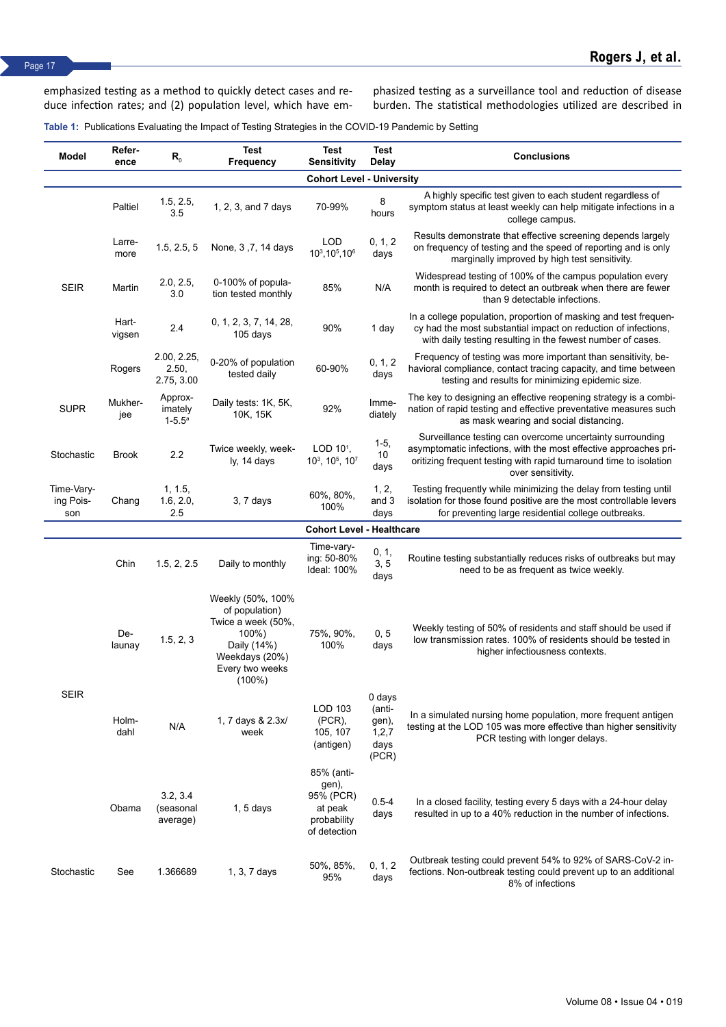emphasized testing as a method to quickly detect cases and reduce infection rates; and (2) population level, which have emphasized testing as a surveillance tool and reduction of disease burden. The statistical methodologies utilized are described in

**Table 1:** Publications Evaluating the Impact of Testing Strategies in the COVID-19 Pandemic by Setting

| Model                            | Refer-<br>ence  | $R_{0}$                            | <b>Test</b><br>Frequency                                                                                                            | Test<br>Sensitivity                                                        | <b>Test</b><br>Delay                                  | <b>Conclusions</b>                                                                                                                                                                                                       |  |  |  |
|----------------------------------|-----------------|------------------------------------|-------------------------------------------------------------------------------------------------------------------------------------|----------------------------------------------------------------------------|-------------------------------------------------------|--------------------------------------------------------------------------------------------------------------------------------------------------------------------------------------------------------------------------|--|--|--|
| <b>Cohort Level - University</b> |                 |                                    |                                                                                                                                     |                                                                            |                                                       |                                                                                                                                                                                                                          |  |  |  |
| <b>SEIR</b>                      | Paltiel         | 1.5, 2.5,<br>3.5                   | 1, 2, 3, and 7 days                                                                                                                 | 70-99%                                                                     | 8<br>hours                                            | A highly specific test given to each student regardless of<br>symptom status at least weekly can help mitigate infections in a<br>college campus.                                                                        |  |  |  |
|                                  | Larre-<br>more  | 1.5, 2.5, 5                        | None, 3, 7, 14 days                                                                                                                 | <b>LOD</b><br>103, 105, 106                                                | 0, 1, 2<br>days                                       | Results demonstrate that effective screening depends largely<br>on frequency of testing and the speed of reporting and is only<br>marginally improved by high test sensitivity.                                          |  |  |  |
|                                  | Martin          | 2.0, 2.5,<br>3.0                   | 0-100% of popula-<br>tion tested monthly                                                                                            | 85%                                                                        | N/A                                                   | Widespread testing of 100% of the campus population every<br>month is required to detect an outbreak when there are fewer<br>than 9 detectable infections.                                                               |  |  |  |
|                                  | Hart-<br>vigsen | 2.4                                | 0, 1, 2, 3, 7, 14, 28,<br>105 days                                                                                                  | 90%                                                                        | 1 day                                                 | In a college population, proportion of masking and test frequen-<br>cy had the most substantial impact on reduction of infections,<br>with daily testing resulting in the fewest number of cases.                        |  |  |  |
|                                  | Rogers          | 2.00, 2.25,<br>2.50,<br>2.75, 3.00 | 0-20% of population<br>tested daily                                                                                                 | 60-90%                                                                     | 0, 1, 2<br>days                                       | Frequency of testing was more important than sensitivity, be-<br>havioral compliance, contact tracing capacity, and time between<br>testing and results for minimizing epidemic size.                                    |  |  |  |
| <b>SUPR</b>                      | Mukher-<br>jee  | Approx-<br>imately<br>$1 - 5.5^a$  | Daily tests: 1K, 5K,<br>10K, 15K                                                                                                    | 92%                                                                        | Imme-<br>diately                                      | The key to designing an effective reopening strategy is a combi-<br>nation of rapid testing and effective preventative measures such<br>as mask wearing and social distancing.                                           |  |  |  |
| Stochastic                       | <b>Brook</b>    | 2.2                                | Twice weekly, week-<br>ly, 14 days                                                                                                  | LOD $101$ ,<br>10 <sup>3</sup> , 10 <sup>5</sup> , 10 <sup>7</sup>         | $1-5,$<br>10<br>days                                  | Surveillance testing can overcome uncertainty surrounding<br>asymptomatic infections, with the most effective approaches pri-<br>oritizing frequent testing with rapid turnaround time to isolation<br>over sensitivity. |  |  |  |
| Time-Vary-<br>ing Pois-<br>son   | Chang           | 1, 1.5,<br>1.6, 2.0,<br>2.5        | $3, 7$ days                                                                                                                         | 60%, 80%,<br>100%                                                          | 1, 2,<br>and 3<br>days                                | Testing frequently while minimizing the delay from testing until<br>isolation for those found positive are the most controllable levers<br>for preventing large residential college outbreaks.                           |  |  |  |
|                                  |                 |                                    |                                                                                                                                     | <b>Cohort Level - Healthcare</b>                                           |                                                       |                                                                                                                                                                                                                          |  |  |  |
| <b>SEIR</b>                      | Chin            | 1.5, 2, 2.5                        | Daily to monthly                                                                                                                    | Time-vary-<br>ing: 50-80%<br>Ideal: 100%                                   | 0, 1,<br>3, 5<br>days                                 | Routine testing substantially reduces risks of outbreaks but may<br>need to be as frequent as twice weekly.                                                                                                              |  |  |  |
|                                  | De-<br>launay   | 1.5, 2, 3                          | Weekly (50%, 100%<br>of population)<br>Twice a week (50%,<br>100%)<br>Daily (14%)<br>Weekdays (20%)<br>Every two weeks<br>$(100\%)$ | 75%, 90%,<br>100%                                                          | 0, 5<br>days                                          | Weekly testing of 50% of residents and staff should be used if<br>low transmission rates. 100% of residents should be tested in<br>higher infectiousness contexts.                                                       |  |  |  |
|                                  | Holm-<br>dahl   | N/A                                | 1, 7 days & 2.3x/<br>week                                                                                                           | LOD 103<br>$(PCR)$ ,<br>105, 107<br>(antigen)                              | 0 days<br>(anti-<br>gen),<br>1, 2, 7<br>days<br>(PCR) | In a simulated nursing home population, more frequent antigen<br>testing at the LOD 105 was more effective than higher sensitivity<br>PCR testing with longer delays.                                                    |  |  |  |
|                                  | Obama           | 3.2, 3.4<br>(seasonal<br>average)  | $1, 5$ days                                                                                                                         | 85% (anti-<br>gen),<br>95% (PCR)<br>at peak<br>probability<br>of detection | $0.5 - 4$<br>days                                     | In a closed facility, testing every 5 days with a 24-hour delay<br>resulted in up to a 40% reduction in the number of infections.                                                                                        |  |  |  |
| Stochastic                       | See             | 1.366689                           | 1, 3, 7 days                                                                                                                        | 50%, 85%,<br>95%                                                           | 0, 1, 2<br>days                                       | Outbreak testing could prevent 54% to 92% of SARS-CoV-2 in-<br>fections. Non-outbreak testing could prevent up to an additional<br>8% of infections                                                                      |  |  |  |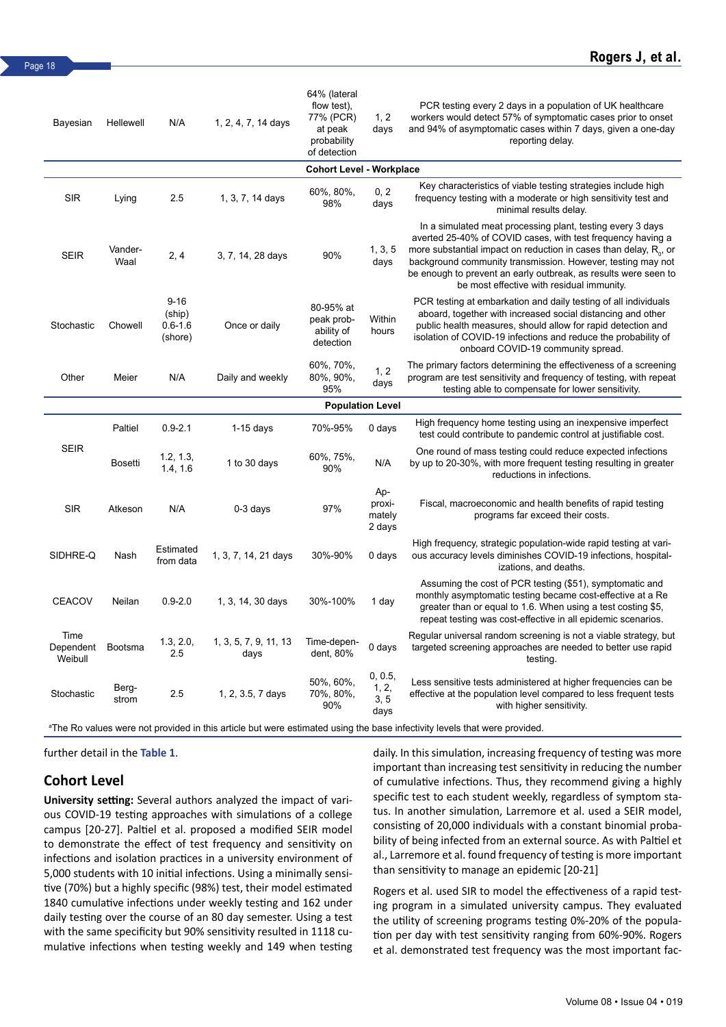| Bayesian                        | Hellewell       | N/A                                          | 1, 2, 4, 7, 14 days           | 64% (lateral<br>flow test),<br>77% (PCR)<br>at peak<br>probability<br>of detection | 1, 2<br>days                      | PCR testing every 2 days in a population of UK healthcare<br>workers would detect 57% of symptomatic cases prior to onset<br>and 94% of asymptomatic cases within 7 days, given a one-day<br>reporting delay.                                                                                                                                                                    |  |  |
|---------------------------------|-----------------|----------------------------------------------|-------------------------------|------------------------------------------------------------------------------------|-----------------------------------|----------------------------------------------------------------------------------------------------------------------------------------------------------------------------------------------------------------------------------------------------------------------------------------------------------------------------------------------------------------------------------|--|--|
| <b>Cohort Level - Workplace</b> |                 |                                              |                               |                                                                                    |                                   |                                                                                                                                                                                                                                                                                                                                                                                  |  |  |
| <b>SIR</b>                      | Lying           | 2.5                                          | 1, 3, 7, 14 days              | 60%, 80%,<br>98%                                                                   | 0, 2<br>days                      | Key characteristics of viable testing strategies include high<br>frequency testing with a moderate or high sensitivity test and<br>minimal results delay.                                                                                                                                                                                                                        |  |  |
| <b>SEIR</b>                     | Vander-<br>Waal | 2, 4                                         | 3, 7, 14, 28 days             | 90%                                                                                | 1, 3, 5<br>days                   | In a simulated meat processing plant, testing every 3 days<br>averted 25-40% of COVID cases, with test frequency having a<br>more substantial impact on reduction in cases than delay, $R_0$ , or<br>background community transmission. However, testing may not<br>be enough to prevent an early outbreak, as results were seen to<br>be most effective with residual immunity. |  |  |
| Stochastic                      | Chowell         | $9 - 16$<br>(ship)<br>$0.6 - 1.6$<br>(shore) | Once or daily                 | 80-95% at<br>peak prob-<br>ability of<br>detection                                 | Within<br>hours                   | PCR testing at embarkation and daily testing of all individuals<br>aboard, together with increased social distancing and other<br>public health measures, should allow for rapid detection and<br>isolation of COVID-19 infections and reduce the probability of<br>onboard COVID-19 community spread.                                                                           |  |  |
| Other                           | Meier           | N/A                                          | Daily and weekly              | 60%, 70%,<br>80%, 90%,<br>95%                                                      | 1, 2<br>days                      | The primary factors determining the effectiveness of a screening<br>program are test sensitivity and frequency of testing, with repeat<br>testing able to compensate for lower sensitivity.                                                                                                                                                                                      |  |  |
|                                 |                 |                                              |                               |                                                                                    | <b>Population Level</b>           |                                                                                                                                                                                                                                                                                                                                                                                  |  |  |
|                                 | Paltiel         | $0.9 - 2.1$                                  | $1-15$ days                   | 70%-95%                                                                            | 0 days                            | High frequency home testing using an inexpensive imperfect<br>test could contribute to pandemic control at justifiable cost.                                                                                                                                                                                                                                                     |  |  |
| <b>SEIR</b>                     | Bosetti         | 1.2, 1.3,<br>1.4, 1.6                        | 1 to 30 days                  | 60%, 75%,<br>90%                                                                   | N/A                               | One round of mass testing could reduce expected infections<br>by up to 20-30%, with more frequent testing resulting in greater<br>reductions in infections.                                                                                                                                                                                                                      |  |  |
| <b>SIR</b>                      | Atkeson         | N/A                                          | $0-3$ days                    | 97%                                                                                | Ap-<br>proxi-<br>mately<br>2 days | Fiscal, macroeconomic and health benefits of rapid testing<br>programs far exceed their costs.                                                                                                                                                                                                                                                                                   |  |  |
| SIDHRE-Q                        | Nash            | Estimated<br>from data                       | 1, 3, 7, 14, 21 days          | 30%-90%                                                                            | $0$ days                          | High frequency, strategic population-wide rapid testing at vari-<br>ous accuracy levels diminishes COVID-19 infections, hospital-<br>izations, and deaths.                                                                                                                                                                                                                       |  |  |
| <b>CEACOV</b>                   | Neilan          | $0.9 - 2.0$                                  | 1, 3, 14, 30 days             | 30%-100%                                                                           | 1 day                             | Assuming the cost of PCR testing (\$51), symptomatic and<br>monthly asymptomatic testing became cost-effective at a Re<br>greater than or equal to 1.6. When using a test costing \$5,<br>repeat testing was cost-effective in all epidemic scenarios.                                                                                                                           |  |  |
| Time<br>Dependent<br>Weibull    | Bootsma         | 1.3, 2.0,<br>2.5                             | 1, 3, 5, 7, 9, 11, 13<br>days | Time-depen-<br>dent, 80%                                                           | 0 days                            | Regular universal random screening is not a viable strategy, but<br>targeted screening approaches are needed to better use rapid<br>testing.                                                                                                                                                                                                                                     |  |  |
| Stochastic                      | Berg-<br>strom  | 2.5                                          | 1, 2, 3.5, 7 days             | 50%, 60%,<br>70%, 80%,<br>90%                                                      | 0, 0.5,<br>1, 2,<br>3, 5<br>days  | Less sensitive tests administered at higher frequencies can be<br>effective at the population level compared to less frequent tests<br>with higher sensitivity.                                                                                                                                                                                                                  |  |  |

a The Ro values were not provided in this article but were estimated using the base infectivity levels that were provided.

further detail in the **Table 1**.

### **Cohort Level**

**University setting:** Several authors analyzed the impact of various COVID-19 testing approaches with simulations of a college campus [20-27]. Paltiel et al. proposed a modified SEIR model to demonstrate the effect of test frequency and sensitivity on infections and isolation practices in a university environment of 5,000 students with 10 initial infections. Using a minimally sensitive (70%) but a highly specific (98%) test, their model estimated 1840 cumulative infections under weekly testing and 162 under daily testing over the course of an 80 day semester. Using a test with the same specificity but 90% sensitivity resulted in 1118 cumulative infections when testing weekly and 149 when testing daily. In this simulation, increasing frequency of testing was more important than increasing test sensitivity in reducing the number of cumulative infections. Thus, they recommend giving a highly specific test to each student weekly, regardless of symptom status. In another simulation, Larremore et al. used a SEIR model, consisting of 20,000 individuals with a constant binomial probability of being infected from an external source. As with Paltiel et al., Larremore et al. found frequency of testing is more important than sensitivity to manage an epidemic [20-21]

Rogers et al. used SIR to model the effectiveness of a rapid testing program in a simulated university campus. They evaluated the utility of screening programs testing 0%-20% of the population per day with test sensitivity ranging from 60%-90%. Rogers et al. demonstrated test frequency was the most important fac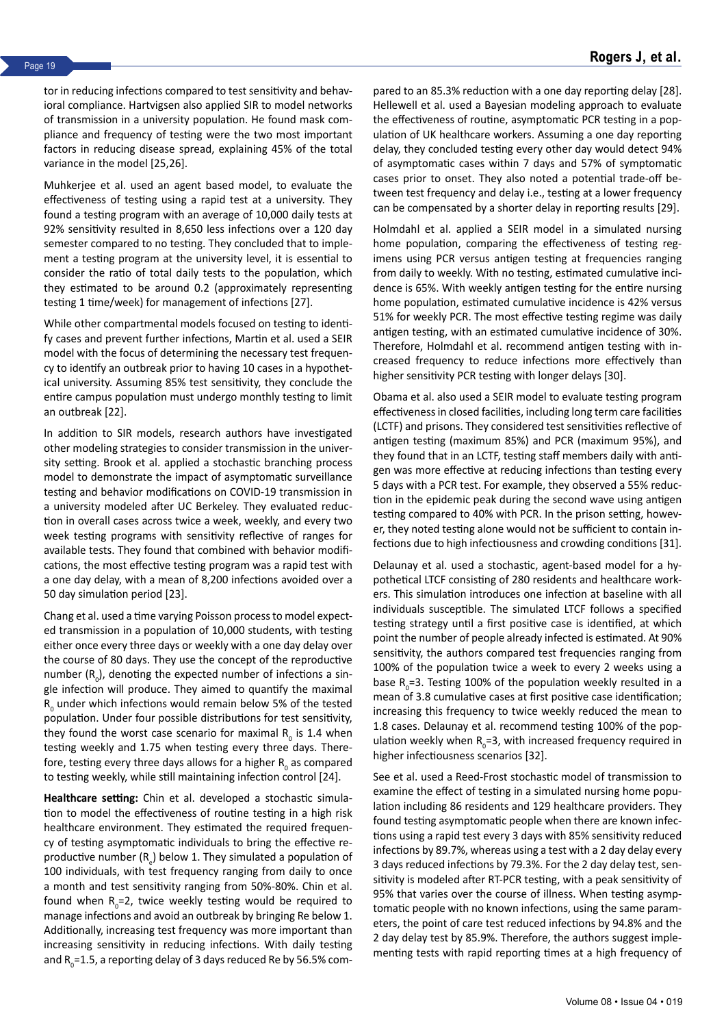tor in reducing infections compared to test sensitivity and behavioral compliance. Hartvigsen also applied SIR to model networks of transmission in a university population. He found mask compliance and frequency of testing were the two most important factors in reducing disease spread, explaining 45% of the total variance in the model [25,26].

Muhkerjee et al. used an agent based model, to evaluate the effectiveness of testing using a rapid test at a university. They found a testing program with an average of 10,000 daily tests at 92% sensitivity resulted in 8,650 less infections over a 120 day semester compared to no testing. They concluded that to implement a testing program at the university level, it is essential to consider the ratio of total daily tests to the population, which they estimated to be around 0.2 (approximately representing testing 1 time/week) for management of infections [27].

While other compartmental models focused on testing to identify cases and prevent further infections, Martin et al. used a SEIR model with the focus of determining the necessary test frequency to identify an outbreak prior to having 10 cases in a hypothetical university. Assuming 85% test sensitivity, they conclude the entire campus population must undergo monthly testing to limit an outbreak [22].

In addition to SIR models, research authors have investigated other modeling strategies to consider transmission in the university setting. Brook et al. applied a stochastic branching process model to demonstrate the impact of asymptomatic surveillance testing and behavior modifications on COVID-19 transmission in a university modeled after UC Berkeley. They evaluated reduction in overall cases across twice a week, weekly, and every two week testing programs with sensitivity reflective of ranges for available tests. They found that combined with behavior modifications, the most effective testing program was a rapid test with a one day delay, with a mean of 8,200 infections avoided over a 50 day simulation period [23].

Chang et al. used a time varying Poisson process to model expected transmission in a population of 10,000 students, with testing either once every three days or weekly with a one day delay over the course of 80 days. They use the concept of the reproductive number  $(R_{0})$ , denoting the expected number of infections a single infection will produce. They aimed to quantify the maximal  $R_{0}$  under which infections would remain below 5% of the tested population. Under four possible distributions for test sensitivity, they found the worst case scenario for maximal  $R_{0}$  is 1.4 when testing weekly and 1.75 when testing every three days. Therefore, testing every three days allows for a higher  $R_{0}$  as compared to testing weekly, while still maintaining infection control [24].

**Healthcare setting:** Chin et al. developed a stochastic simulation to model the effectiveness of routine testing in a high risk healthcare environment. They estimated the required frequency of testing asymptomatic individuals to bring the effective reproductive number  $(R_{e})$  below 1. They simulated a population of 100 individuals, with test frequency ranging from daily to once a month and test sensitivity ranging from 50%-80%. Chin et al. found when  $R_{0}$ =2, twice weekly testing would be required to manage infections and avoid an outbreak by bringing Re below 1. Additionally, increasing test frequency was more important than increasing sensitivity in reducing infections. With daily testing and  $R_{_0}=$  1.5, a reporting delay of 3 days reduced Re by 56.5% compared to an 85.3% reduction with a one day reporting delay [28]. Hellewell et al. used a Bayesian modeling approach to evaluate the effectiveness of routine, asymptomatic PCR testing in a population of UK healthcare workers. Assuming a one day reporting delay, they concluded testing every other day would detect 94% of asymptomatic cases within 7 days and 57% of symptomatic cases prior to onset. They also noted a potential trade-off between test frequency and delay i.e., testing at a lower frequency can be compensated by a shorter delay in reporting results [29].

Holmdahl et al. applied a SEIR model in a simulated nursing home population, comparing the effectiveness of testing regimens using PCR versus antigen testing at frequencies ranging from daily to weekly. With no testing, estimated cumulative incidence is 65%. With weekly antigen testing for the entire nursing home population, estimated cumulative incidence is 42% versus 51% for weekly PCR. The most effective testing regime was daily antigen testing, with an estimated cumulative incidence of 30%. Therefore, Holmdahl et al. recommend antigen testing with increased frequency to reduce infections more effectively than higher sensitivity PCR testing with longer delays [30].

Obama et al. also used a SEIR model to evaluate testing program effectiveness in closed facilities, including long term care facilities (LCTF) and prisons. They considered test sensitivities reflective of antigen testing (maximum 85%) and PCR (maximum 95%), and they found that in an LCTF, testing staff members daily with antigen was more effective at reducing infections than testing every 5 days with a PCR test. For example, they observed a 55% reduction in the epidemic peak during the second wave using antigen testing compared to 40% with PCR. In the prison setting, however, they noted testing alone would not be sufficient to contain infections due to high infectiousness and crowding conditions [31].

Delaunay et al. used a stochastic, agent-based model for a hypothetical LTCF consisting of 280 residents and healthcare workers. This simulation introduces one infection at baseline with all individuals susceptible. The simulated LTCF follows a specified testing strategy until a first positive case is identified, at which point the number of people already infected is estimated. At 90% sensitivity, the authors compared test frequencies ranging from 100% of the population twice a week to every 2 weeks using a base  $R_0$ =3. Testing 100% of the population weekly resulted in a mean of 3.8 cumulative cases at first positive case identification; increasing this frequency to twice weekly reduced the mean to 1.8 cases. Delaunay et al. recommend testing 100% of the population weekly when  $R_0 = 3$ , with increased frequency required in higher infectiousness scenarios [32].

See et al. used a Reed-Frost stochastic model of transmission to examine the effect of testing in a simulated nursing home population including 86 residents and 129 healthcare providers. They found testing asymptomatic people when there are known infections using a rapid test every 3 days with 85% sensitivity reduced infections by 89.7%, whereas using a test with a 2 day delay every 3 days reduced infections by 79.3%. For the 2 day delay test, sensitivity is modeled after RT-PCR testing, with a peak sensitivity of 95% that varies over the course of illness. When testing asymptomatic people with no known infections, using the same parameters, the point of care test reduced infections by 94.8% and the 2 day delay test by 85.9%. Therefore, the authors suggest implementing tests with rapid reporting times at a high frequency of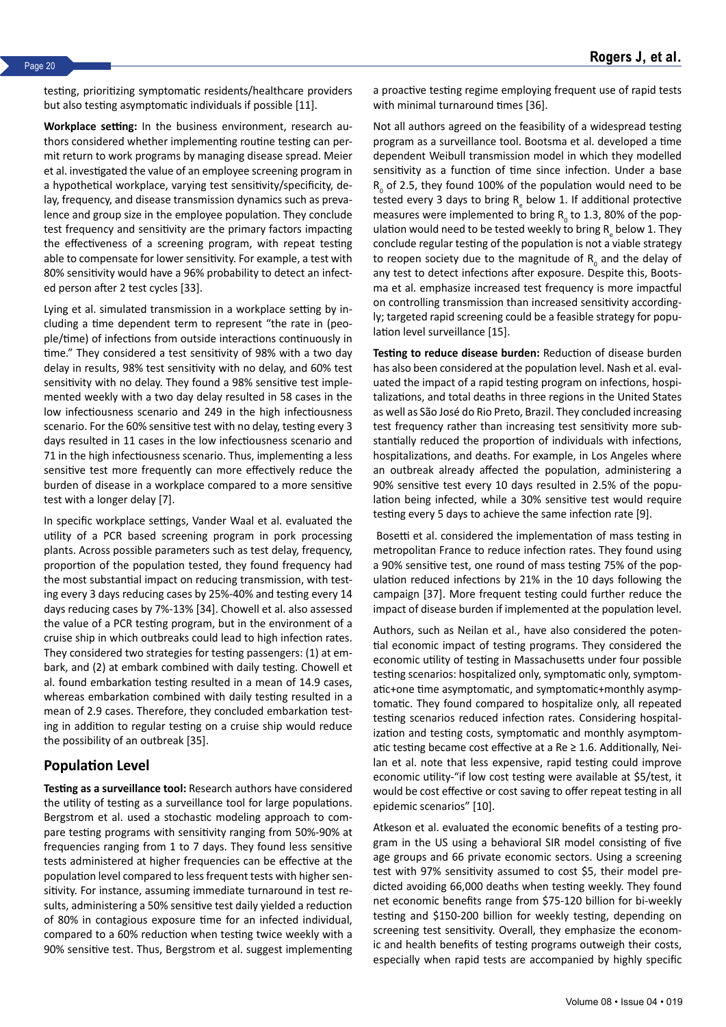testing, prioritizing symptomatic residents/healthcare providers but also testing asymptomatic individuals if possible [11].

**Workplace setting:** In the business environment, research authors considered whether implementing routine testing can permit return to work programs by managing disease spread. Meier et al. investigated the value of an employee screening program in a hypothetical workplace, varying test sensitivity/specificity, delay, frequency, and disease transmission dynamics such as prevalence and group size in the employee population. They conclude test frequency and sensitivity are the primary factors impacting the effectiveness of a screening program, with repeat testing able to compensate for lower sensitivity. For example, a test with 80% sensitivity would have a 96% probability to detect an infected person after 2 test cycles [33].

Lying et al. simulated transmission in a workplace setting by including a time dependent term to represent "the rate in (people/time) of infections from outside interactions continuously in time." They considered a test sensitivity of 98% with a two day delay in results, 98% test sensitivity with no delay, and 60% test sensitivity with no delay. They found a 98% sensitive test implemented weekly with a two day delay resulted in 58 cases in the low infectiousness scenario and 249 in the high infectiousness scenario. For the 60% sensitive test with no delay, testing every 3 days resulted in 11 cases in the low infectiousness scenario and 71 in the high infectiousness scenario. Thus, implementing a less sensitive test more frequently can more effectively reduce the burden of disease in a workplace compared to a more sensitive test with a longer delay [7].

In specific workplace settings, Vander Waal et al. evaluated the utility of a PCR based screening program in pork processing plants. Across possible parameters such as test delay, frequency, proportion of the population tested, they found frequency had the most substantial impact on reducing transmission, with testing every 3 days reducing cases by 25%-40% and testing every 14 days reducing cases by 7%-13% [34]. Chowell et al. also assessed the value of a PCR testing program, but in the environment of a cruise ship in which outbreaks could lead to high infection rates. They considered two strategies for testing passengers: (1) at embark, and (2) at embark combined with daily testing. Chowell et al. found embarkation testing resulted in a mean of 14.9 cases, whereas embarkation combined with daily testing resulted in a mean of 2.9 cases. Therefore, they concluded embarkation testing in addition to regular testing on a cruise ship would reduce the possibility of an outbreak [35].

#### **Population Level**

**Testing as a surveillance tool:** Research authors have considered the utility of testing as a surveillance tool for large populations. Bergstrom et al. used a stochastic modeling approach to compare testing programs with sensitivity ranging from 50%-90% at frequencies ranging from 1 to 7 days. They found less sensitive tests administered at higher frequencies can be effective at the population level compared to less frequent tests with higher sensitivity. For instance, assuming immediate turnaround in test results, administering a 50% sensitive test daily yielded a reduction of 80% in contagious exposure time for an infected individual, compared to a 60% reduction when testing twice weekly with a 90% sensitive test. Thus, Bergstrom et al. suggest implementing a proactive testing regime employing frequent use of rapid tests with minimal turnaround times [36].

Not all authors agreed on the feasibility of a widespread testing program as a surveillance tool. Bootsma et al. developed a time dependent Weibull transmission model in which they modelled sensitivity as a function of time since infection. Under a base  $R_{0}$  of 2.5, they found 100% of the population would need to be tested every 3 days to bring  $R_{\text{e}}$  below 1. If additional protective measures were implemented to bring  $R_0$  to 1.3, 80% of the population would need to be tested weekly to bring  $R_{e}$  below 1. They conclude regular testing of the population is not a viable strategy to reopen society due to the magnitude of  $R_{_0}$  and the delay of any test to detect infections after exposure. Despite this, Bootsma et al. emphasize increased test frequency is more impactful on controlling transmission than increased sensitivity accordingly; targeted rapid screening could be a feasible strategy for population level surveillance [15].

**Testing to reduce disease burden:** Reduction of disease burden has also been considered at the population level. Nash et al. evaluated the impact of a rapid testing program on infections, hospitalizations, and total deaths in three regions in the United States as well as São José do Rio Preto, Brazil. They concluded increasing test frequency rather than increasing test sensitivity more substantially reduced the proportion of individuals with infections, hospitalizations, and deaths. For example, in Los Angeles where an outbreak already affected the population, administering a 90% sensitive test every 10 days resulted in 2.5% of the population being infected, while a 30% sensitive test would require testing every 5 days to achieve the same infection rate [9].

 Bosetti et al. considered the implementation of mass testing in metropolitan France to reduce infection rates. They found using a 90% sensitive test, one round of mass testing 75% of the population reduced infections by 21% in the 10 days following the campaign [37]. More frequent testing could further reduce the impact of disease burden if implemented at the population level.

Authors, such as Neilan et al., have also considered the potential economic impact of testing programs. They considered the economic utility of testing in Massachusetts under four possible testing scenarios: hospitalized only, symptomatic only, symptomatic+one time asymptomatic, and symptomatic+monthly asymptomatic. They found compared to hospitalize only, all repeated testing scenarios reduced infection rates. Considering hospitalization and testing costs, symptomatic and monthly asymptomatic testing became cost effective at a  $Re \ge 1.6$ . Additionally, Neilan et al. note that less expensive, rapid testing could improve economic utility-"if low cost testing were available at \$5/test, it would be cost effective or cost saving to offer repeat testing in all epidemic scenarios" [10].

Atkeson et al. evaluated the economic benefits of a testing program in the US using a behavioral SIR model consisting of five age groups and 66 private economic sectors. Using a screening test with 97% sensitivity assumed to cost \$5, their model predicted avoiding 66,000 deaths when testing weekly. They found net economic benefits range from \$75-120 billion for bi-weekly testing and \$150-200 billion for weekly testing, depending on screening test sensitivity. Overall, they emphasize the economic and health benefits of testing programs outweigh their costs, especially when rapid tests are accompanied by highly specific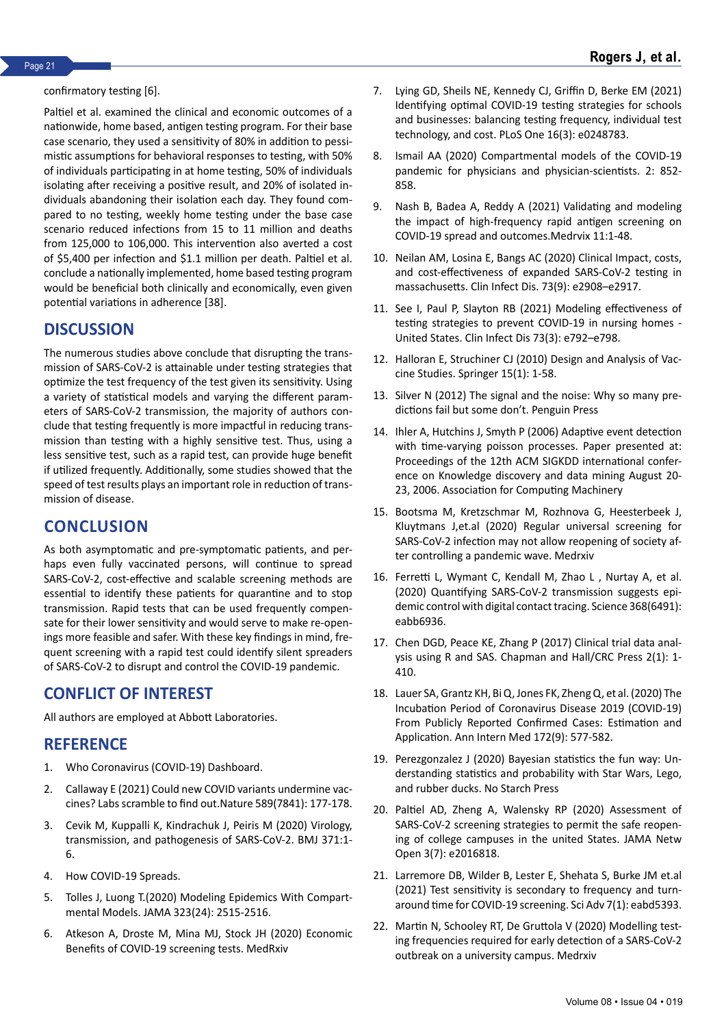#### confirmatory testing [6].

Paltiel et al. examined the clinical and economic outcomes of a nationwide, home based, antigen testing program. For their base case scenario, they used a sensitivity of 80% in addition to pessimistic assumptions for behavioral responses to testing, with 50% of individuals participating in at home testing, 50% of individuals isolating after receiving a positive result, and 20% of isolated individuals abandoning their isolation each day. They found compared to no testing, weekly home testing under the base case scenario reduced infections from 15 to 11 million and deaths from 125,000 to 106,000. This intervention also averted a cost of \$5,400 per infection and \$1.1 million per death. Paltiel et al. conclude a nationally implemented, home based testing program would be beneficial both clinically and economically, even given potential variations in adherence [38].

# **DISCUSSION**

The numerous studies above conclude that disrupting the transmission of SARS-CoV-2 is attainable under testing strategies that optimize the test frequency of the test given its sensitivity. Using a variety of statistical models and varying the different parameters of SARS-CoV-2 transmission, the majority of authors conclude that testing frequently is more impactful in reducing transmission than testing with a highly sensitive test. Thus, using a less sensitive test, such as a rapid test, can provide huge benefit if utilized frequently. Additionally, some studies showed that the speed of test results plays an important role in reduction of transmission of disease.

# **CONCLUSION**

As both asymptomatic and pre-symptomatic patients, and perhaps even fully vaccinated persons, will continue to spread SARS-CoV-2, cost-effective and scalable screening methods are essential to identify these patients for quarantine and to stop transmission. Rapid tests that can be used frequently compensate for their lower sensitivity and would serve to make re-openings more feasible and safer. With these key findings in mind, frequent screening with a rapid test could identify silent spreaders of SARS-CoV-2 to disrupt and control the COVID-19 pandemic.

# **CONFLICT OF INTEREST**

All authors are employed at Abbott Laboratories.

### **REFERENCE**

- 1. [Who Coronavirus \(COVID-19\) Dashboard.](https://covid19.who.int/https:/covid19.who.int/)
- 2. Callaway E (2021) C[ould new COVID variants undermine vac](https://www.nature.com/articles/d41586-021-00031-0)[cines? Labs scramble to fi](https://www.nature.com/articles/d41586-021-00031-0)nd out.Nature 589(7841): 177-178.
- 3. Cevik M, Kuppalli K, Kindrachuk J, Peiris M (2020) [Virology,](https://www.bmj.com/content/371/bmj.m3862) [transmission, and pathogenesis of SARS-CoV-2. BMJ 3](https://www.bmj.com/content/371/bmj.m3862)71:1- 6.
- 4. [How COVID-19 Spreads.](https://www.cdc.gov/coronavirus/2019-ncov/prevent-getting-sick/how-covid-spreads.html)
- 5. Tolles J, Luong T.(202[0\) Modeling Epidemics With Compart](https://pubmed.ncbi.nlm.nih.gov/32459319/)[mental Models. JAMA 323](https://pubmed.ncbi.nlm.nih.gov/32459319/)(24): 2515-2516.
- 6. Atkeson A, Droste M, Mina MJ, Stock JH (2020) E[conomic](http://conomic Benefits of COVID-19 screening tests. ) [Benefits of COVID-19 screening tests. MedRxiv](http://conomic Benefits of COVID-19 screening tests. )
- 7. Lying GD, Sheils NE, Kennedy CJ, Griffin D, Berke EM (2021) Id[entifying optimal COVID-19 testing strategies for schools](https://journals.plos.org/plosone/article?id=10.1371/journal.pone.0248783) [and businesses: balancing testing frequency, individual test](https://journals.plos.org/plosone/article?id=10.1371/journal.pone.0248783) [technology, an](https://journals.plos.org/plosone/article?id=10.1371/journal.pone.0248783)d cost. PLoS One 16(3): e0248783.
- 8. Ismail AA (202[0\) Compartmental models of the COVID-19](https://link.springer.com/article/10.1007/s42399-020-00330-z) [pandemic for physicia](https://link.springer.com/article/10.1007/s42399-020-00330-z)ns and physician-scientists. 2: 852- 858.
- 9. Nash B, Badea A, Reddy A (2021[\) Validating and modeling](https://www.medrxiv.org/content/10.1101/2020.09.01.20184713v7) [the impact of high-frequency rapid](https://www.medrxiv.org/content/10.1101/2020.09.01.20184713v7) antigen screening on COVID-19 spread and outcomes.Medrvix 11:1-48.
- 10. Neilan AM, Losina E, Bangs AC (2020) [Clinical Impact, costs,](https://academic.oup.com/cid/article/73/9/e2908/5908298) [and cost-effectiveness of expanded SARS](https://academic.oup.com/cid/article/73/9/e2908/5908298)-CoV-2 testing in massachusetts. Clin Infect Dis. 73(9): e2908–e2917.
- 11. See I, Paul P, Slayton RB (2021[\) Modeling effectiveness of](https://academic.oup.com/cid/article/73/3/e792/6132104?login=false) [testing strategies to prevent COVID](https://academic.oup.com/cid/article/73/3/e792/6132104?login=false)-19 in nursing homes - United States. Clin Infect Dis 73(3): e792–e798.
- 12. Halloran E, Struchiner CJ (2010) [Design and Analysis of Vac](https://link.springer.com/book/10.1007/978-0-387-68636-3#authorsandaffiliationsbook)[cine Studies](https://link.springer.com/book/10.1007/978-0-387-68636-3#authorsandaffiliationsbook). Springer 15(1): 1-58.
- 13. Silver N (2012) T[he signal and the noise: Why so many pre](https://www.penguinrandomhouse.com/books/305826/the-signal-and-the-noise-by-nate-silver/)[dictions fail but some](https://www.penguinrandomhouse.com/books/305826/the-signal-and-the-noise-by-nate-silver/) don't. Penguin Press
- 14. Ihler A, Hutchins J, Smyth P (2006) A[daptive event detection](https://dl.acm.org/doi/10.1145/1150402.1150428) [with time-varying poisson processes. Paper presented at:](https://dl.acm.org/doi/10.1145/1150402.1150428) [Proceedings of the 12th ACM SIGKDD international confer](https://dl.acm.org/doi/10.1145/1150402.1150428)[ence on Knowledge discovery and data](https://dl.acm.org/doi/10.1145/1150402.1150428) mining August 20- 23, 2006. Association for Computing Machinery
- 15. Bootsma M, Kretzschmar M, Rozhnova G, Heesterbeek J, Kluytmans J,et.al (2020) [Regular universal screening for](https://www.medrxiv.org/content/10.1101/2020.11.18.20233122v2) [SARS-CoV-2 infection may not all](https://www.medrxiv.org/content/10.1101/2020.11.18.20233122v2)ow reopening of society after controlling a pandemic wave. Medrxiv
- 16. Ferretti L, Wymant C, Kendall M, Zhao L , Nurtay A, et al. (2020) [Quantifying SARS-CoV-2 transmission suggests epi](https://www.science.org/doi/10.1126/science.abb6936)[demic contro](https://www.science.org/doi/10.1126/science.abb6936)l with digital contact tracing. Science 368(6491): eabb6936.
- 17. Chen DGD, Peace KE, Zhang P (2017) [Clinical trial data anal](https://www.taylorfrancis.com/books/mono/10.1201/9781315155104/clinical-trial-data-analysis-using-sas-ding-geng-din-chen-karl-peace-pinggao-zhang)[ysis using R and SAS. Chapman and Hall/CRC Press 2\(1\): 1-](https://www.taylorfrancis.com/books/mono/10.1201/9781315155104/clinical-trial-data-analysis-using-sas-ding-geng-din-chen-karl-peace-pinggao-zhang) 410[.](https://www.taylorfrancis.com/books/mono/10.1201/9781315155104/clinical-trial-data-analysis-using-sas-ding-geng-din-chen-karl-peace-pinggao-zhang)
- 18. Lauer SA, Grantz KH, Bi Q, Jones FK, Zheng Q, et al. (2020) The [Incubation Period of Coronavirus Disease 2019 \(COVID-19\)](https://www.acpjournals.org/doi/10.7326/M20-0504) [From P](https://www.acpjournals.org/doi/10.7326/M20-0504)ublicly Reported Confirmed Cases: Estimation and Application. Ann Intern Med 172(9): 577-582.
- 19. Perezgonzalez J (2020) [Bayesian statistics the fun way: Un](https://www.frontiersin.org/articles/10.3389/fpsyg.2019.03021/full)[derstanding statistics and pr](https://www.frontiersin.org/articles/10.3389/fpsyg.2019.03021/full)obability with Star Wars, Lego, and rubber ducks. No Starch Press
- 20. Paltiel AD, Zheng A, Walensky RP (2020) [Assessment of](https://pubmed.ncbi.nlm.nih.gov/32735339/) [SARS-CoV-2 screening strategies to permit the s](https://pubmed.ncbi.nlm.nih.gov/32735339/)afe reopening of college campuses in the united States. JAMA Netw Open 3(7): e2016818.
- 21. Larremore DB, Wilder B, Lester E, Shehata S, Burke JM et.al (2021) [Test sensitivity is secondary to frequency and turn](https://www.science.org/doi/10.1126/sciadv.abd5393?cookieSet=1)[around time for](https://www.science.org/doi/10.1126/sciadv.abd5393?cookieSet=1) COVID-19 screening. Sci Adv 7(1): eabd5393.
- 22. Martin N, Schooley RT, De Gruttola V (2020[\) Modelling test](https://www.medrxiv.org/content/10.1101/2020.06.01.20118885v1)[ing frequencies required for early detection of a](https://www.medrxiv.org/content/10.1101/2020.06.01.20118885v1) SARS-CoV-2 outbreak on a university campus. Medrxiv